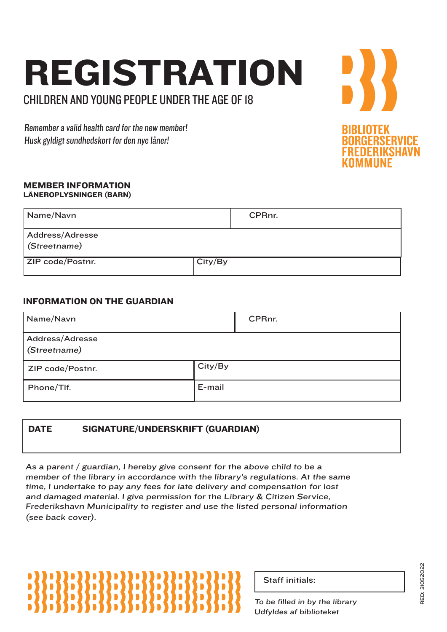### REGISTRATION CHILDREN AND YOUNG PEOPLE UNDER THE AGE OF 18

Remember a valid health card for the new member! Husk gyldigt sundhedskort for den nye låner!

#### MEMBER INFORMATION LÅNEROPLYSNINGER (BARN)

| Name/Navn                       |         | CPRnr. |
|---------------------------------|---------|--------|
| Address/Adresse<br>(Streetname) |         |        |
| ZIP code/Postnr.                | City/By |        |

### INFORMATION ON THE GUARDIAN

| Name/Navn                       |         | CPRnr. |
|---------------------------------|---------|--------|
| Address/Adresse<br>(Streetname) |         |        |
| ZIP code/Postnr.                | City/By |        |
| Phone/Tlf.                      | E-mail  |        |

### DATE SIGNATURE/UNDERSKRIFT (GUARDIAN)

As a parent / guardian, I hereby give consent for the above child to be a member of the library in accordance with the library's regulations. At the same time, I undertake to pay any fees for late delivery and compensation for lost and damaged material. I give permission for the Library & Citizen Service, Frederikshavn Municipality to register and use the listed personal information (see back cover).

## D)

| <b>Staff initials:</b> |
|------------------------|
|                        |

To be filled in by the library Udfyldes af biblioteket

RED: 31052022 RED: 31052022